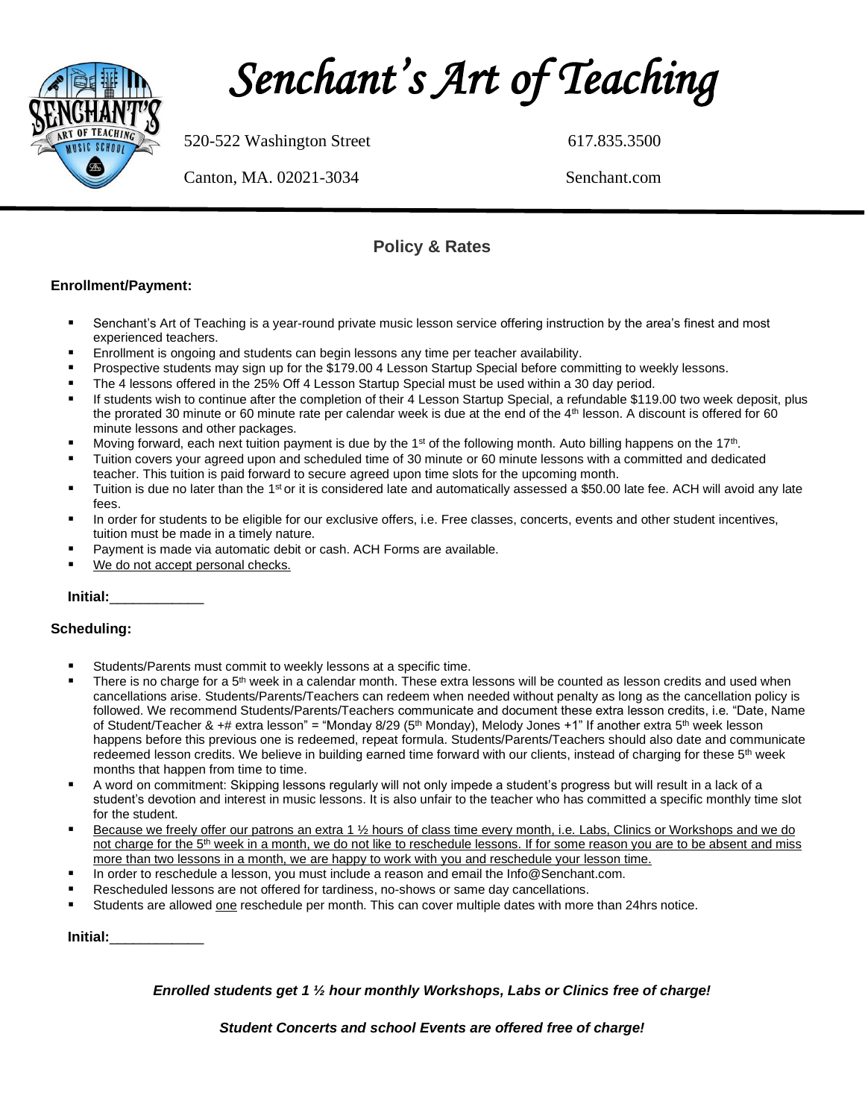

 *Senchant's Art of Teaching* 

520-522 Washington Street 617.835.3500

Canton, MA. 02021-3034 Senchant.com

### **Policy & Rates**

### **Enrollment/Payment:**

- Senchant's Art of Teaching is a year-round private music lesson service offering instruction by the area's finest and most experienced teachers.
- Enrollment is ongoing and students can begin lessons any time per teacher availability.
- Prospective students may sign up for the \$179.00 4 Lesson Startup Special before committing to weekly lessons.
- The 4 lessons offered in the 25% Off 4 Lesson Startup Special must be used within a 30 day period.
- If students wish to continue after the completion of their 4 Lesson Startup Special, a refundable \$119.00 two week deposit, plus the prorated 30 minute or 60 minute rate per calendar week is due at the end of the 4<sup>th</sup> lesson. A discount is offered for 60 minute lessons and other packages.
- **■** Moving forward, each next tuition payment is due by the 1<sup>st</sup> of the following month. Auto billing happens on the 17<sup>th</sup>.
- Tuition covers your agreed upon and scheduled time of 30 minute or 60 minute lessons with a committed and dedicated teacher. This tuition is paid forward to secure agreed upon time slots for the upcoming month.
- **Taition is due no later than the 1<sup>st</sup> or it is considered late and automatically assessed a \$50.00 late fee. ACH will avoid any late** fees.
- In order for students to be eligible for our exclusive offers, i.e. Free classes, concerts, events and other student incentives, tuition must be made in a timely nature.
- Payment is made via automatic debit or cash. ACH Forms are available.
- We do not accept personal checks.

**Initial:**\_\_\_\_\_\_\_\_\_\_\_\_

### **Scheduling:**

- Students/Parents must commit to weekly lessons at a specific time.
- There is no charge for a 5<sup>th</sup> week in a calendar month. These extra lessons will be counted as lesson credits and used when cancellations arise. Students/Parents/Teachers can redeem when needed without penalty as long as the cancellation policy is followed. We recommend Students/Parents/Teachers communicate and document these extra lesson credits, i.e. "Date, Name of Student/Teacher & +# extra lesson" = "Monday 8/29 (5<sup>th</sup> Monday), Melody Jones +1" If another extra 5<sup>th</sup> week lesson happens before this previous one is redeemed, repeat formula. Students/Parents/Teachers should also date and communicate redeemed lesson credits. We believe in building earned time forward with our clients, instead of charging for these 5<sup>th</sup> week months that happen from time to time.
- A word on commitment: Skipping lessons regularly will not only impede a student's progress but will result in a lack of a student's devotion and interest in music lessons. It is also unfair to the teacher who has committed a specific monthly time slot for the student.
- Because we freely offer our patrons an extra 1 1/2 hours of class time every month, i.e. Labs, Clinics or Workshops and we do not charge for the 5<sup>th</sup> week in a month, we do not like to reschedule lessons. If for some reason you are to be absent and miss more than two lessons in a month, we are happy to work with you and reschedule your lesson time.
- In order to reschedule a lesson, you must include a reason and email the Info@Senchant.com.
- Rescheduled lessons are not offered for tardiness, no-shows or same day cancellations.
- Students are allowed one reschedule per month. This can cover multiple dates with more than 24hrs notice.

**Initial:**\_\_\_\_\_\_\_\_\_\_\_\_

### *Enrolled students get 1 ½ hour monthly Workshops, Labs or Clinics free of charge!*

*Student Concerts and school Events are offered free of charge!*